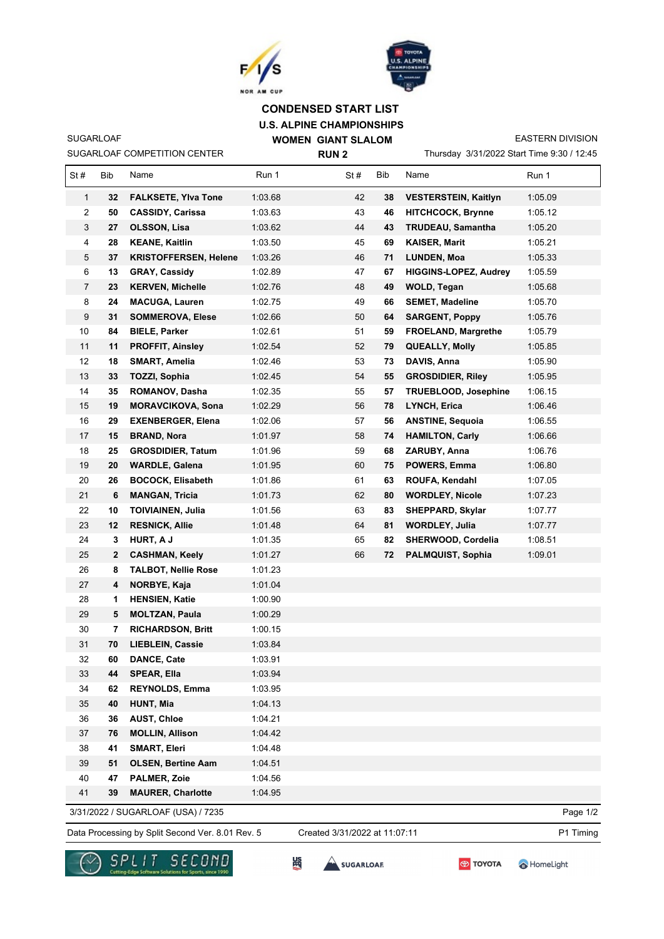



## **U.S. ALPINE CHAMPIONSHIPS WOMEN GIANT SLALOM CONDENSED START LIST**

SUGARLOAF COMPETITION CENTER

SUGARLOAF

**RUN 2**

Thursday 3/31/2022 Start Time 9:30 / 12:45 EASTERN DIVISION

| St#            | Bib | Name                               | Run 1   | St# | Bib | Name                         | Run 1    |
|----------------|-----|------------------------------------|---------|-----|-----|------------------------------|----------|
| 1              | 32  | <b>FALKSETE, Ylva Tone</b>         | 1:03.68 | 42  | 38  | <b>VESTERSTEIN, Kaitlyn</b>  | 1:05.09  |
| 2              | 50  | <b>CASSIDY, Carissa</b>            | 1:03.63 | 43  | 46  | <b>HITCHCOCK, Brynne</b>     | 1:05.12  |
| 3              | 27  | <b>OLSSON, Lisa</b>                | 1:03.62 | 44  | 43  | <b>TRUDEAU, Samantha</b>     | 1:05.20  |
| 4              | 28  | <b>KEANE, Kaitlin</b>              | 1:03.50 | 45  | 69  | <b>KAISER, Marit</b>         | 1:05.21  |
| 5              | 37  | <b>KRISTOFFERSEN, Helene</b>       | 1:03.26 | 46  | 71  | LUNDEN, Moa                  | 1:05.33  |
| 6              | 13  | <b>GRAY, Cassidy</b>               | 1:02.89 | 47  | 67  | <b>HIGGINS-LOPEZ, Audrey</b> | 1:05.59  |
| $\overline{7}$ | 23  | <b>KERVEN, Michelle</b>            | 1:02.76 | 48  | 49  | WOLD, Tegan                  | 1:05.68  |
| 8              | 24  | <b>MACUGA, Lauren</b>              | 1:02.75 | 49  | 66  | <b>SEMET, Madeline</b>       | 1:05.70  |
| 9              | 31  | <b>SOMMEROVA, Elese</b>            | 1:02.66 | 50  | 64  | <b>SARGENT, Poppy</b>        | 1:05.76  |
| 10             | 84  | <b>BIELE, Parker</b>               | 1:02.61 | 51  | 59  | FROELAND, Margrethe          | 1:05.79  |
| 11             | 11  | <b>PROFFIT, Ainsley</b>            | 1:02.54 | 52  | 79  | <b>QUEALLY, Molly</b>        | 1:05.85  |
| 12             | 18  | <b>SMART, Amelia</b>               | 1:02.46 | 53  | 73  | DAVIS, Anna                  | 1:05.90  |
| 13             | 33  | <b>TOZZI, Sophia</b>               | 1:02.45 | 54  | 55  | <b>GROSDIDIER, Riley</b>     | 1:05.95  |
| 14             | 35  | ROMANOV, Dasha                     | 1:02.35 | 55  | 57  | <b>TRUEBLOOD, Josephine</b>  | 1:06.15  |
| 15             | 19  | <b>MORAVCIKOVA, Sona</b>           | 1:02.29 | 56  | 78  | LYNCH, Erica                 | 1:06.46  |
| 16             | 29  | <b>EXENBERGER, Elena</b>           | 1:02.06 | 57  | 56  | <b>ANSTINE, Sequoia</b>      | 1:06.55  |
| 17             | 15  | <b>BRAND, Nora</b>                 | 1:01.97 | 58  | 74  | <b>HAMILTON, Carly</b>       | 1:06.66  |
| 18             | 25  | <b>GROSDIDIER, Tatum</b>           | 1:01.96 | 59  | 68  | ZARUBY, Anna                 | 1:06.76  |
| 19             | 20  | <b>WARDLE, Galena</b>              | 1:01.95 | 60  | 75  | POWERS, Emma                 | 1:06.80  |
| 20             | 26  | <b>BOCOCK, Elisabeth</b>           | 1:01.86 | 61  | 63  | ROUFA, Kendahl               | 1:07.05  |
| 21             | 6   | <b>MANGAN, Tricia</b>              | 1:01.73 | 62  | 80  | <b>WORDLEY, Nicole</b>       | 1:07.23  |
| 22             | 10  | <b>TOIVIAINEN, Julia</b>           | 1:01.56 | 63  | 83  | SHEPPARD, Skylar             | 1:07.77  |
| 23             | 12  | <b>RESNICK, Allie</b>              | 1:01.48 | 64  | 81  | <b>WORDLEY, Julia</b>        | 1:07.77  |
| 24             | 3   | HURT, A J                          | 1:01.35 | 65  | 82  | SHERWOOD, Cordelia           | 1:08.51  |
| 25             | 2   | <b>CASHMAN, Keely</b>              | 1:01.27 | 66  | 72  | <b>PALMQUIST, Sophia</b>     | 1:09.01  |
| 26             | 8   | <b>TALBOT, Nellie Rose</b>         | 1:01.23 |     |     |                              |          |
| 27             | 4   | NORBYE, Kaja                       | 1:01.04 |     |     |                              |          |
| 28             | 1   | <b>HENSIEN, Katie</b>              | 1:00.90 |     |     |                              |          |
| 29             | 5   | <b>MOLTZAN, Paula</b>              | 1:00.29 |     |     |                              |          |
| 30             | 7   | <b>RICHARDSON, Britt</b>           | 1:00.15 |     |     |                              |          |
| 31             | 70  | <b>LIEBLEIN, Cassie</b>            | 1:03.84 |     |     |                              |          |
| 32             | 60  | DANCE, Cate                        | 1:03.91 |     |     |                              |          |
| 33             | 44  | <b>SPEAR, Ella</b>                 | 1:03.94 |     |     |                              |          |
| 34             | 62  | <b>REYNOLDS, Emma</b>              | 1:03.95 |     |     |                              |          |
| 35             | 40  | HUNT, Mia                          | 1:04.13 |     |     |                              |          |
| 36             | 36  | <b>AUST, Chloe</b>                 | 1:04.21 |     |     |                              |          |
| 37             | 76  | <b>MOLLIN, Allison</b>             | 1:04.42 |     |     |                              |          |
| 38             | 41  | <b>SMART, Eleri</b>                | 1:04.48 |     |     |                              |          |
| 39             | 51  | <b>OLSEN, Bertine Aam</b>          | 1:04.51 |     |     |                              |          |
| 40             | 47  | PALMER, Zoie                       | 1:04.56 |     |     |                              |          |
| 41             | 39  | <b>MAURER, Charlotte</b>           | 1:04.95 |     |     |                              |          |
|                |     | 3/31/2022 / SUGARLOAF (USA) / 7235 |         |     |     |                              | Page 1/2 |

Data Processing by Split Second Ver. 8.01 Rev. 5 Created 3/31/2022 at 11:07:11 P1 Timing

Created 3/31/2022 at 11:07:11





**SES**